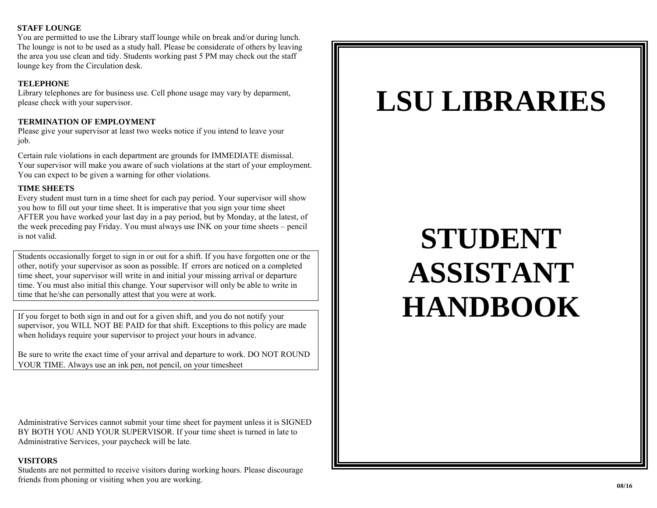#### **STAFF LOUNGE**

You are permitted to use the Library staff lounge while on break and/or during lunch. The lounge is not to be used as a study hall. Please be considerate of others by leaving the area you use clean and tidy. Students working past 5 PM may check out the staff lounge key from the Circulation desk.

# **TELEPHONE**

Library telephones are for business use. Cell phone usage may vary by deparment, please check with your supervisor.

# **TERMINATION OF EMPLOYMENT**

Please give your supervisor at least two weeks notice if you intend to leave your job.

Certain rule violations in each department are grounds for IMMEDIATE dismissal. Your supervisor will make you aware of such violations at the start of your employment. You can expect to be given a warning for other violations.

# **TIME SHEETS**

Every student must turn in a time sheet for each pay period. Your supervisor will show you how to fill out your time sheet. It is imperative that you sign your time sheet AFTER you have worked your last day in a pay period, but by Monday, at the latest, of the week preceding pay Friday. You must always use INK on your time sheets – pencil is not valid.

Students occasionally forget to sign in or out for a shift. If you have forgotten one or the other, notify your supervisor as soon as possible. If errors are noticed on a completed time sheet, your supervisor will write in and initial your missing arrival or departure time. You must also initial this change. Your supervisor will only be able to write in time that he/she can personally attest that you were at work.

If you forget to both sign in and out for a given shift, and you do not notify your supervisor, you WILL NOT BE PAID for that shift. Exceptions to this policy are made when holidays require your supervisor to project your hours in advance.

Be sure to write the exact time of your arrival and departure to work. DO NOT ROUND YOUR TIME. Always use an ink pen, not pencil, on your timesheet

Administrative Services cannot submit your time sheet for payment unless it is SIGNED BY BOTH YOU AND YOUR SUPERVISOR. If your time sheet is turned in late to Administrative Services, your paycheck will be late.

# **VISITORS**

Students are not permitted to receive visitors during working hours. Please discourage friends from phoning or visiting when you are working.

# **LSU LIBRARIES**

# **STUDENT ASSISTANT HANDBOOK**